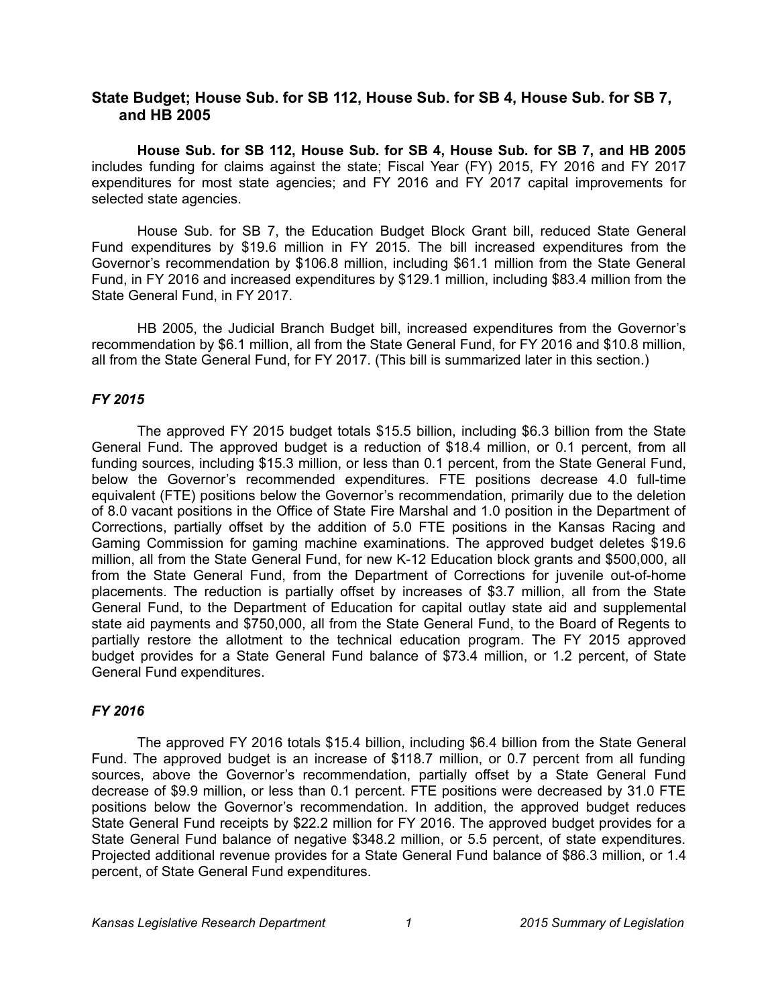## **State Budget; House Sub. for SB 112, House Sub. for SB 4, House Sub. for SB 7, and HB 2005**

**House Sub. for SB 112, House Sub. for SB 4, House Sub. for SB 7, and HB 2005** includes funding for claims against the state; Fiscal Year (FY) 2015, FY 2016 and FY 2017 expenditures for most state agencies; and FY 2016 and FY 2017 capital improvements for selected state agencies.

House Sub. for SB 7, the Education Budget Block Grant bill, reduced State General Fund expenditures by \$19.6 million in FY 2015. The bill increased expenditures from the Governor's recommendation by \$106.8 million, including \$61.1 million from the State General Fund, in FY 2016 and increased expenditures by \$129.1 million, including \$83.4 million from the State General Fund, in FY 2017.

HB 2005, the Judicial Branch Budget bill, increased expenditures from the Governor's recommendation by \$6.1 million, all from the State General Fund, for FY 2016 and \$10.8 million, all from the State General Fund, for FY 2017. (This bill is summarized later in this section.)

## *FY 2015*

The approved FY 2015 budget totals \$15.5 billion, including \$6.3 billion from the State General Fund. The approved budget is a reduction of \$18.4 million, or 0.1 percent, from all funding sources, including \$15.3 million, or less than 0.1 percent, from the State General Fund, below the Governor's recommended expenditures. FTE positions decrease 4.0 full-time equivalent (FTE) positions below the Governor's recommendation, primarily due to the deletion of 8.0 vacant positions in the Office of State Fire Marshal and 1.0 position in the Department of Corrections, partially offset by the addition of 5.0 FTE positions in the Kansas Racing and Gaming Commission for gaming machine examinations. The approved budget deletes \$19.6 million, all from the State General Fund, for new K-12 Education block grants and \$500,000, all from the State General Fund, from the Department of Corrections for juvenile out-of-home placements. The reduction is partially offset by increases of \$3.7 million, all from the State General Fund, to the Department of Education for capital outlay state aid and supplemental state aid payments and \$750,000, all from the State General Fund, to the Board of Regents to partially restore the allotment to the technical education program. The FY 2015 approved budget provides for a State General Fund balance of \$73.4 million, or 1.2 percent, of State General Fund expenditures.

## *FY 2016*

The approved FY 2016 totals \$15.4 billion, including \$6.4 billion from the State General Fund. The approved budget is an increase of \$118.7 million, or 0.7 percent from all funding sources, above the Governor's recommendation, partially offset by a State General Fund decrease of \$9.9 million, or less than 0.1 percent. FTE positions were decreased by 31.0 FTE positions below the Governor's recommendation. In addition, the approved budget reduces State General Fund receipts by \$22.2 million for FY 2016. The approved budget provides for a State General Fund balance of negative \$348.2 million, or 5.5 percent, of state expenditures. Projected additional revenue provides for a State General Fund balance of \$86.3 million, or 1.4 percent, of State General Fund expenditures.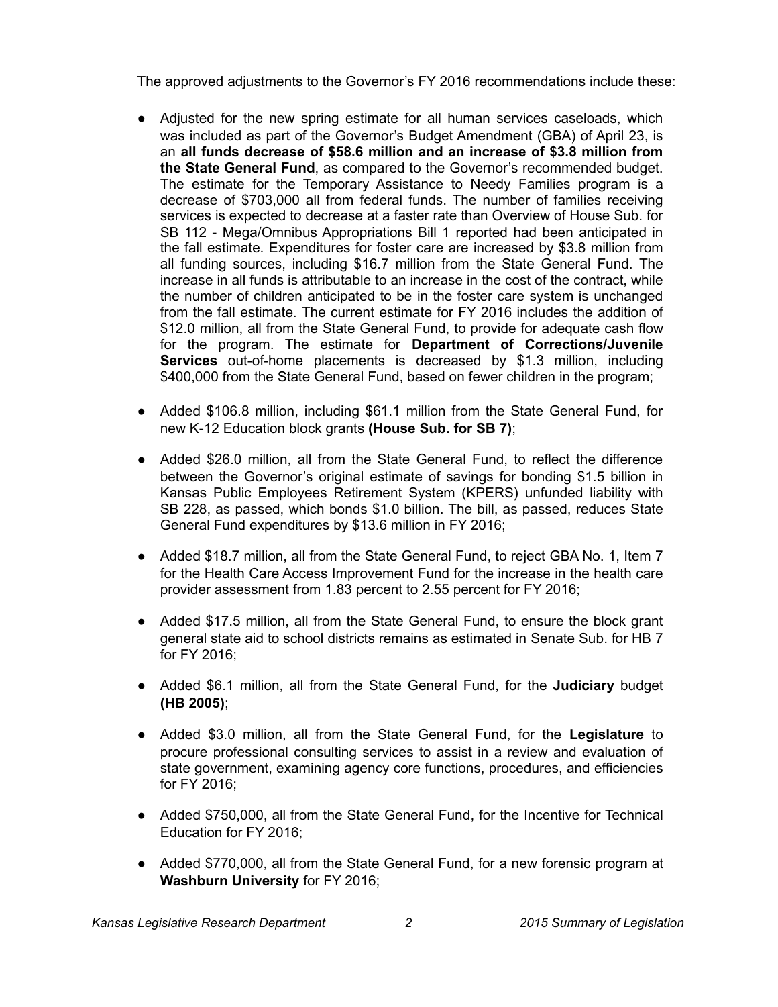The approved adjustments to the Governor's FY 2016 recommendations include these:

- Adjusted for the new spring estimate for all human services caseloads, which was included as part of the Governor's Budget Amendment (GBA) of April 23, is an **all funds decrease of \$58.6 million and an increase of \$3.8 million from the State General Fund**, as compared to the Governor's recommended budget. The estimate for the Temporary Assistance to Needy Families program is a decrease of \$703,000 all from federal funds. The number of families receiving services is expected to decrease at a faster rate than Overview of House Sub. for SB 112 - Mega/Omnibus Appropriations Bill 1 reported had been anticipated in the fall estimate. Expenditures for foster care are increased by \$3.8 million from all funding sources, including \$16.7 million from the State General Fund. The increase in all funds is attributable to an increase in the cost of the contract, while the number of children anticipated to be in the foster care system is unchanged from the fall estimate. The current estimate for FY 2016 includes the addition of \$12.0 million, all from the State General Fund, to provide for adequate cash flow for the program. The estimate for **Department of Corrections/Juvenile Services** out-of-home placements is decreased by \$1.3 million, including \$400,000 from the State General Fund, based on fewer children in the program;
- Added \$106.8 million, including \$61.1 million from the State General Fund, for new K-12 Education block grants **(House Sub. for SB 7)**;
- Added \$26.0 million, all from the State General Fund, to reflect the difference between the Governor's original estimate of savings for bonding \$1.5 billion in Kansas Public Employees Retirement System (KPERS) unfunded liability with SB 228, as passed, which bonds \$1.0 billion. The bill, as passed, reduces State General Fund expenditures by \$13.6 million in FY 2016;
- Added \$18.7 million, all from the State General Fund, to reject GBA No. 1, Item 7 for the Health Care Access Improvement Fund for the increase in the health care provider assessment from 1.83 percent to 2.55 percent for FY 2016;
- Added \$17.5 million, all from the State General Fund, to ensure the block grant general state aid to school districts remains as estimated in Senate Sub. for HB 7 for FY 2016;
- Added \$6.1 million, all from the State General Fund, for the **Judiciary** budget **(HB 2005)**;
- Added \$3.0 million, all from the State General Fund, for the **Legislature** to procure professional consulting services to assist in a review and evaluation of state government, examining agency core functions, procedures, and efficiencies for FY 2016;
- Added \$750,000, all from the State General Fund, for the Incentive for Technical Education for FY 2016;
- Added \$770,000, all from the State General Fund, for a new forensic program at **Washburn University** for FY 2016;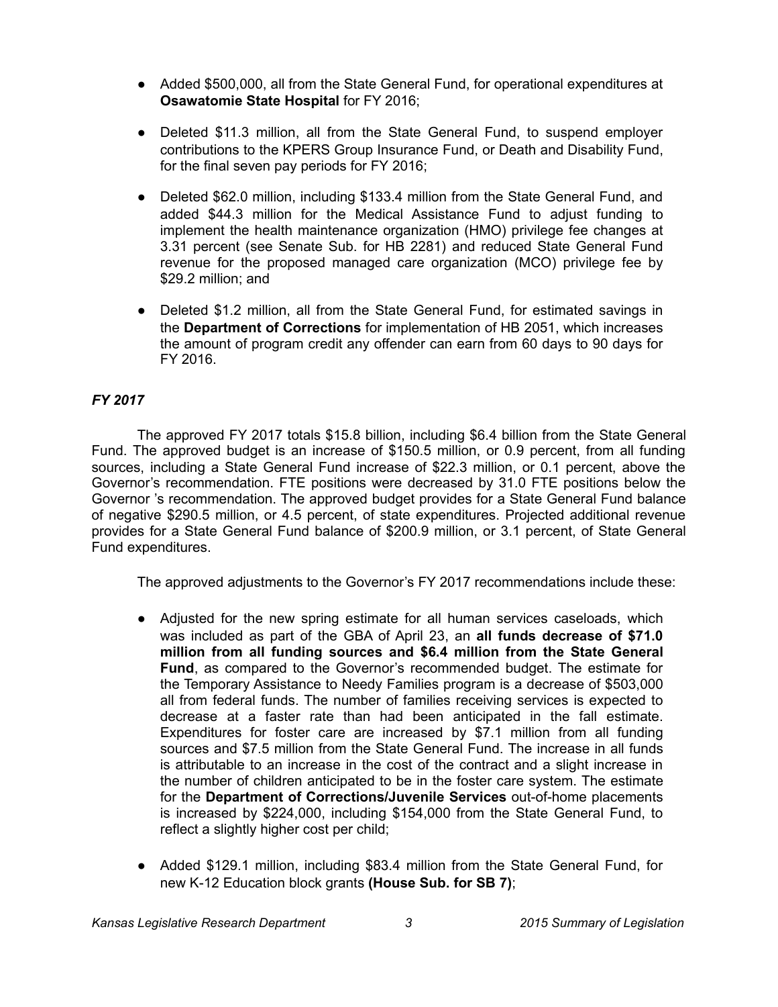- Added \$500,000, all from the State General Fund, for operational expenditures at **Osawatomie State Hospital** for FY 2016;
- Deleted \$11.3 million, all from the State General Fund, to suspend employer contributions to the KPERS Group Insurance Fund, or Death and Disability Fund, for the final seven pay periods for FY 2016;
- Deleted \$62.0 million, including \$133.4 million from the State General Fund, and added \$44.3 million for the Medical Assistance Fund to adjust funding to implement the health maintenance organization (HMO) privilege fee changes at 3.31 percent (see Senate Sub. for HB 2281) and reduced State General Fund revenue for the proposed managed care organization (MCO) privilege fee by \$29.2 million; and
- Deleted \$1.2 million, all from the State General Fund, for estimated savings in the **Department of Corrections** for implementation of HB 2051, which increases the amount of program credit any offender can earn from 60 days to 90 days for FY 2016.

## *FY 2017*

The approved FY 2017 totals \$15.8 billion, including \$6.4 billion from the State General Fund. The approved budget is an increase of \$150.5 million, or 0.9 percent, from all funding sources, including a State General Fund increase of \$22.3 million, or 0.1 percent, above the Governor's recommendation. FTE positions were decreased by 31.0 FTE positions below the Governor 's recommendation. The approved budget provides for a State General Fund balance of negative \$290.5 million, or 4.5 percent, of state expenditures. Projected additional revenue provides for a State General Fund balance of \$200.9 million, or 3.1 percent, of State General Fund expenditures.

The approved adjustments to the Governor's FY 2017 recommendations include these:

- Adjusted for the new spring estimate for all human services caseloads, which was included as part of the GBA of April 23, an **all funds decrease of \$71.0 million from all funding sources and \$6.4 million from the State General Fund**, as compared to the Governor's recommended budget. The estimate for the Temporary Assistance to Needy Families program is a decrease of \$503,000 all from federal funds. The number of families receiving services is expected to decrease at a faster rate than had been anticipated in the fall estimate. Expenditures for foster care are increased by \$7.1 million from all funding sources and \$7.5 million from the State General Fund. The increase in all funds is attributable to an increase in the cost of the contract and a slight increase in the number of children anticipated to be in the foster care system. The estimate for the **Department of Corrections/Juvenile Services** out-of-home placements is increased by \$224,000, including \$154,000 from the State General Fund, to reflect a slightly higher cost per child;
- Added \$129.1 million, including \$83.4 million from the State General Fund, for new K-12 Education block grants **(House Sub. for SB 7)**;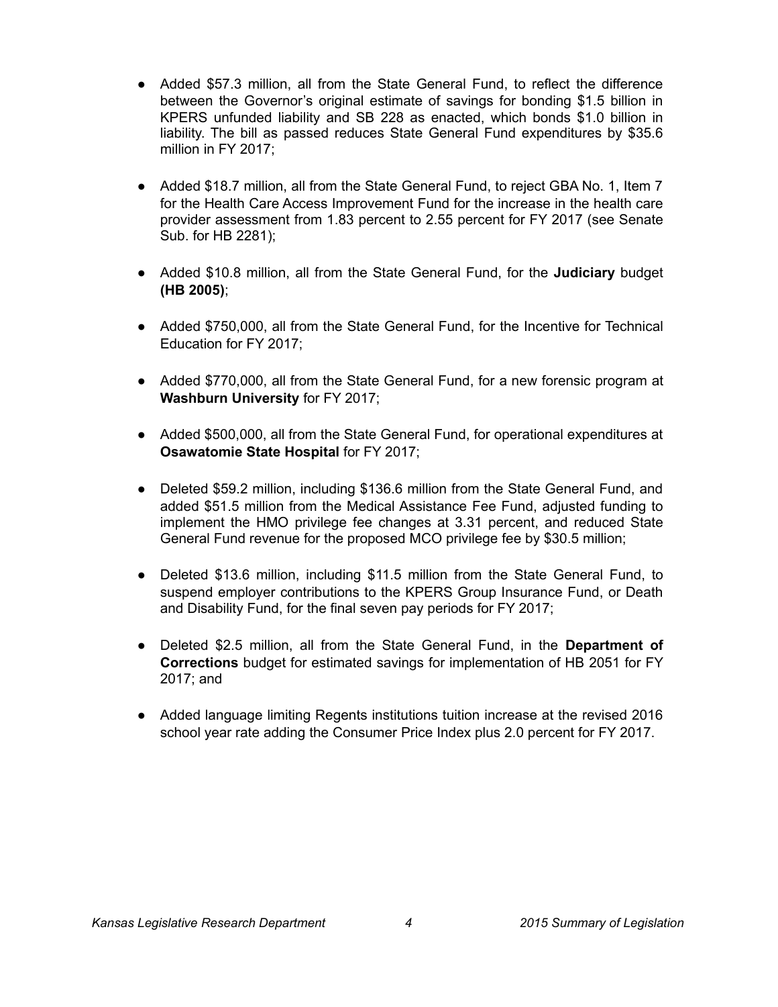- Added \$57.3 million, all from the State General Fund, to reflect the difference between the Governor's original estimate of savings for bonding \$1.5 billion in KPERS unfunded liability and SB 228 as enacted, which bonds \$1.0 billion in liability. The bill as passed reduces State General Fund expenditures by \$35.6 million in FY 2017;
- Added \$18.7 million, all from the State General Fund, to reject GBA No. 1, Item 7 for the Health Care Access Improvement Fund for the increase in the health care provider assessment from 1.83 percent to 2.55 percent for FY 2017 (see Senate Sub. for HB 2281);
- Added \$10.8 million, all from the State General Fund, for the **Judiciary** budget **(HB 2005)**;
- Added \$750,000, all from the State General Fund, for the Incentive for Technical Education for FY 2017;
- Added \$770,000, all from the State General Fund, for a new forensic program at **Washburn University** for FY 2017;
- Added \$500,000, all from the State General Fund, for operational expenditures at **Osawatomie State Hospital** for FY 2017;
- Deleted \$59.2 million, including \$136.6 million from the State General Fund, and added \$51.5 million from the Medical Assistance Fee Fund, adjusted funding to implement the HMO privilege fee changes at 3.31 percent, and reduced State General Fund revenue for the proposed MCO privilege fee by \$30.5 million;
- Deleted \$13.6 million, including \$11.5 million from the State General Fund, to suspend employer contributions to the KPERS Group Insurance Fund, or Death and Disability Fund, for the final seven pay periods for FY 2017;
- Deleted \$2.5 million, all from the State General Fund, in the **Department of Corrections** budget for estimated savings for implementation of HB 2051 for FY 2017; and
- Added language limiting Regents institutions tuition increase at the revised 2016 school year rate adding the Consumer Price Index plus 2.0 percent for FY 2017.